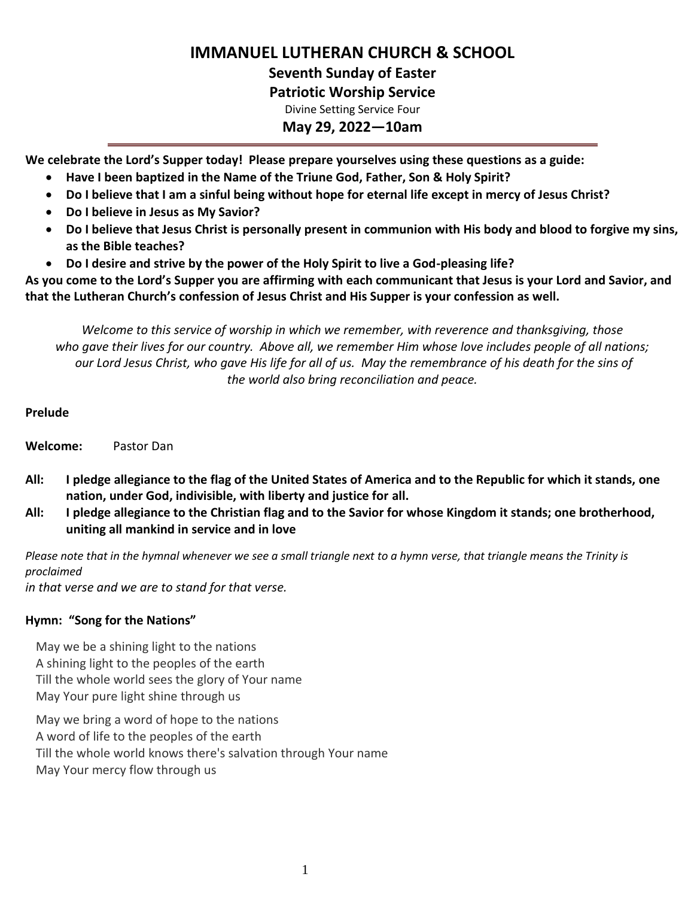# **IMMANUEL LUTHERAN CHURCH & SCHOOL**

# **Seventh Sunday of Easter**

#### **Patriotic Worship Service**

# Divine Setting Service Four

**May 29, 2022—10am**

**We celebrate the Lord's Supper today! Please prepare yourselves using these questions as a guide:**

- **Have I been baptized in the Name of the Triune God, Father, Son & Holy Spirit?**
- **Do I believe that I am a sinful being without hope for eternal life except in mercy of Jesus Christ?**
- **Do I believe in Jesus as My Savior?**
- **Do I believe that Jesus Christ is personally present in communion with His body and blood to forgive my sins, as the Bible teaches?**
- **Do I desire and strive by the power of the Holy Spirit to live a God-pleasing life?**

**As you come to the Lord's Supper you are affirming with each communicant that Jesus is your Lord and Savior, and that the Lutheran Church's confession of Jesus Christ and His Supper is your confession as well.**

*Welcome to this service of worship in which we remember, with reverence and thanksgiving, those who gave their lives for our country. Above all, we remember Him whose love includes people of all nations; our Lord Jesus Christ, who gave His life for all of us. May the remembrance of his death for the sins of the world also bring reconciliation and peace.*

# **Prelude**

**Welcome:** Pastor Dan

- **All: I pledge allegiance to the flag of the United States of America and to the Republic for which it stands, one nation, under God, indivisible, with liberty and justice for all.**
- **All: I pledge allegiance to the Christian flag and to the Savior for whose Kingdom it stands; one brotherhood, uniting all mankind in service and in love**

*Please note that in the hymnal whenever we see a small triangle next to a hymn verse, that triangle means the Trinity is proclaimed* 

*in that verse and we are to stand for that verse.*

# **Hymn: "Song for the Nations"**

May we be a shining light to the nations A shining light to the peoples of the earth Till the whole world sees the glory of Your name May Your pure light shine through us

May we bring a word of hope to the nations A word of life to the peoples of the earth Till the whole world knows there's salvation through Your name May Your mercy flow through us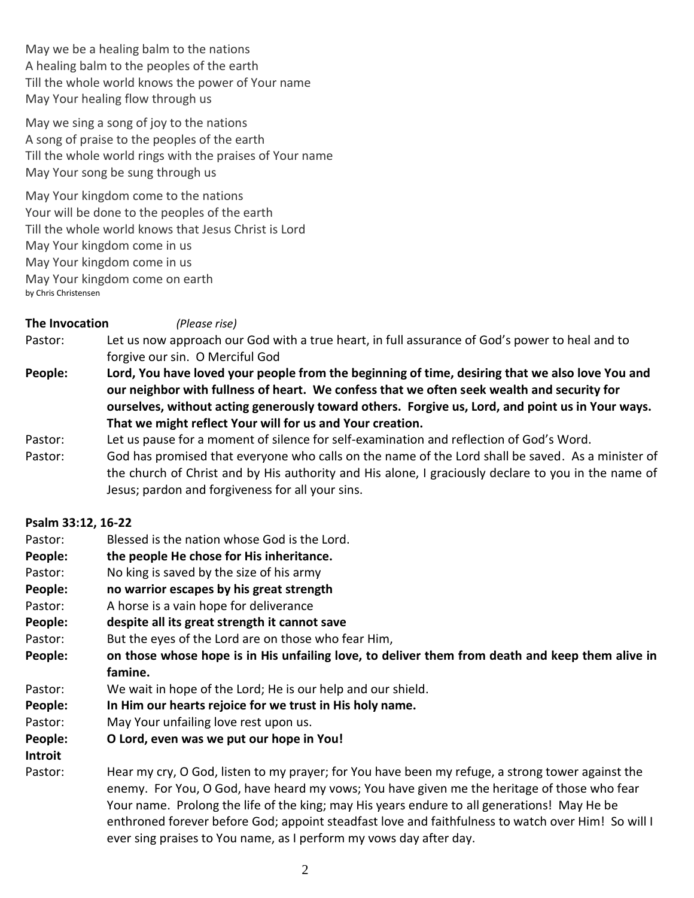May we be a healing balm to the nations A healing balm to the peoples of the earth Till the whole world knows the power of Your name May Your healing flow through us

May we sing a song of joy to the nations A song of praise to the peoples of the earth Till the whole world rings with the praises of Your name May Your song be sung through us

May Your kingdom come to the nations Your will be done to the peoples of the earth Till the whole world knows that Jesus Christ is Lord May Your kingdom come in us May Your kingdom come in us May Your kingdom come on earth by [Chris Christensen](https://www.invubu.com/music/show/artist/Chris-Christensen.html)

## **The Invocation** *(Please rise)*

- Pastor: Let us now approach our God with a true heart, in full assurance of God's power to heal and to forgive our sin. O Merciful God
- **People: Lord, You have loved your people from the beginning of time, desiring that we also love You and our neighbor with fullness of heart. We confess that we often seek wealth and security for ourselves, without acting generously toward others. Forgive us, Lord, and point us in Your ways. That we might reflect Your will for us and Your creation.**
- Pastor: Let us pause for a moment of silence for self-examination and reflection of God's Word.
- Pastor: God has promised that everyone who calls on the name of the Lord shall be saved. As a minister of the church of Christ and by His authority and His alone, I graciously declare to you in the name of Jesus; pardon and forgiveness for all your sins.

## **Psalm 33:12, 16-22**

- Pastor: Blessed is the nation whose God is the Lord.
- **People: the people He chose for His inheritance.**
- Pastor: No king is saved by the size of his army
- **People: no warrior escapes by his great strength**
- Pastor: A horse is a vain hope for deliverance
- **People: despite all its great strength it cannot save**
- Pastor: But the eyes of the Lord are on those who fear Him,
- **People: on those whose hope is in His unfailing love, to deliver them from death and keep them alive in famine.**
- Pastor: We wait in hope of the Lord; He is our help and our shield.
- **People: In Him our hearts rejoice for we trust in His holy name.**
- Pastor: May Your unfailing love rest upon us.
- **People: O Lord, even was we put our hope in You!**
- **Introit**
- Pastor: Hear my cry, O God, listen to my prayer; for You have been my refuge, a strong tower against the enemy. For You, O God, have heard my vows; You have given me the heritage of those who fear Your name. Prolong the life of the king; may His years endure to all generations! May He be enthroned forever before God; appoint steadfast love and faithfulness to watch over Him! So will I ever sing praises to You name, as I perform my vows day after day.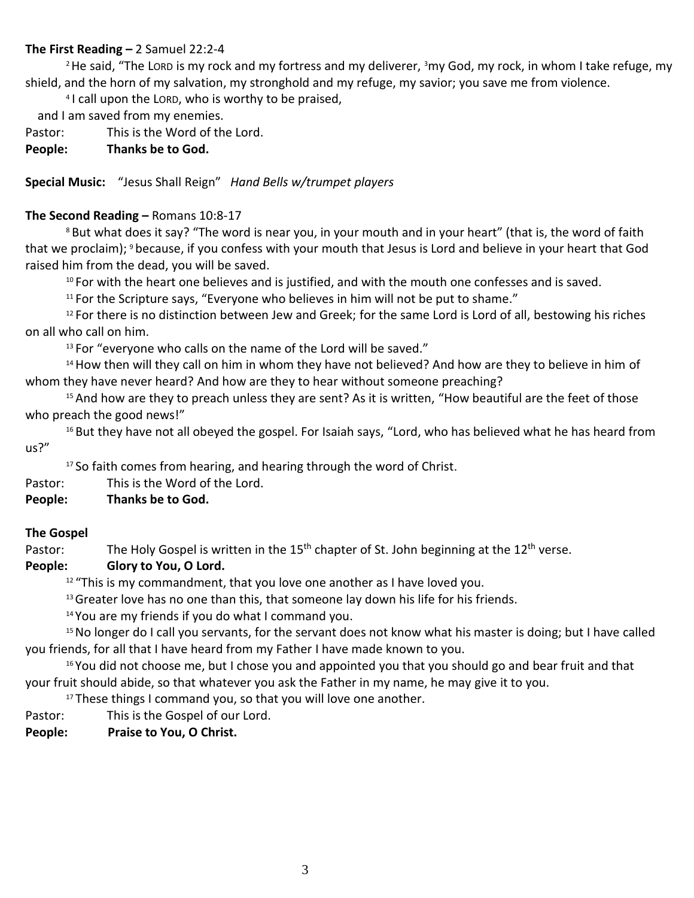### **The First Reading –** 2 Samuel 22:2-4

<sup>2</sup> He said, "The Lord is my rock and my fortress and my deliverer, <sup>3</sup>my God, my rock, in whom I take refuge, my shield, and the horn of my salvation, my stronghold and my refuge, my savior; you save me from violence.

4 I call upon the LORD, who is worthy to be praised,

and I am saved from my enemies.

Pastor: This is the Word of the Lord.

### **People: Thanks be to God.**

**Special Music:** "Jesus Shall Reign" *Hand Bells w/trumpet players*

#### **The Second Reading –** Romans 10:8-17

<sup>8</sup> But what does it say? "The word is near you, in your mouth and in your heart" (that is, the word of faith that we proclaim); <sup>9</sup> because, if you confess with your mouth that Jesus is Lord and believe in your heart that God raised him from the dead, you will be saved.

<sup>10</sup> For with the heart one believes and is justified, and with the mouth one confesses and is saved.

 $11$  For the Scripture says, "Everyone who believes in him will not be put to shame."

<sup>12</sup> For there is no distinction between Jew and Greek; for the same Lord is Lord of all, bestowing his riches on all who call on him.

 $13$  For "everyone who calls on the name of the Lord will be saved."

<sup>14</sup> How then will they call on him in whom they have not believed? And how are they to believe in him of whom they have never heard? And how are they to hear without someone preaching?

<sup>15</sup> And how are they to preach unless they are sent? As it is written, "How beautiful are the feet of those who preach the good news!"

<sup>16</sup> But they have not all obeyed the gospel. For Isaiah says, "Lord, who has believed what he has heard from us?"

<sup>17</sup> So faith comes from hearing, and hearing through the word of Christ.

Pastor: This is the Word of the Lord.

#### **People: Thanks be to God.**

#### **The Gospel**

Pastor: The Holy Gospel is written in the 15<sup>th</sup> chapter of St. John beginning at the 12<sup>th</sup> verse.

#### **People: Glory to You, O Lord.**

 $12$  "This is my commandment, that you love one another as I have loved you.

<sup>13</sup> Greater love has no one than this, that someone lay down his life for his friends.

<sup>14</sup> You are my friends if you do what I command you.

<sup>15</sup> No longer do I call you servants, for the servant does not know what his master is doing; but I have called you friends, for all that I have heard from my Father I have made known to you.

<sup>16</sup> You did not choose me, but I chose you and appointed you that you should go and bear fruit and that your fruit should abide, so that whatever you ask the Father in my name, he may give it to you.

<sup>17</sup> These things I command you, so that you will love one another.

Pastor: This is the Gospel of our Lord.

**People: Praise to You, O Christ.**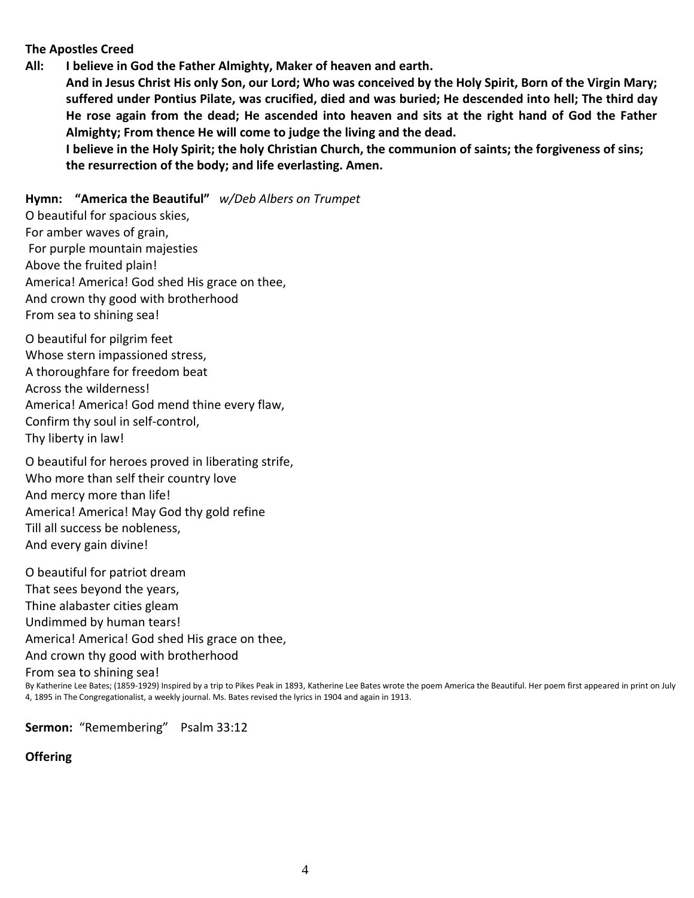### **The Apostles Creed**

**All: I believe in God the Father Almighty, Maker of heaven and earth. And in Jesus Christ His only Son, our Lord; Who was conceived by the Holy Spirit, Born of the Virgin Mary; suffered under Pontius Pilate, was crucified, died and was buried; He descended into hell; The third day He rose again from the dead; He ascended into heaven and sits at the right hand of God the Father Almighty; From thence He will come to judge the living and the dead.**

**I believe in the Holy Spirit; the holy Christian Church, the communion of saints; the forgiveness of sins; the resurrection of the body; and life everlasting. Amen.**

### **Hymn: "America the Beautiful"** *w/Deb Albers on Trumpet*

O beautiful for spacious skies, For amber waves of grain, For purple mountain majesties Above the fruited plain! America! America! God shed His grace on thee, And crown thy good with brotherhood From sea to shining sea!

O beautiful for pilgrim feet Whose stern impassioned stress, A thoroughfare for freedom beat Across the wilderness! America! America! God mend thine every flaw, Confirm thy soul in self-control, Thy liberty in law!

O beautiful for heroes proved in liberating strife, Who more than self their country love And mercy more than life! America! America! May God thy gold refine Till all success be nobleness, And every gain divine!

O beautiful for patriot dream That sees beyond the years, Thine alabaster cities gleam Undimmed by human tears! America! America! God shed His grace on thee, And crown thy good with brotherhood

From sea to shining sea!

By Katherine Lee Bates; (1859-1929) Inspired by a trip to Pikes Peak in 1893, Katherine Lee Bates wrote the poem America the Beautiful. Her poem first appeared in print on July 4, 1895 in The Congregationalist, a weekly journal. Ms. Bates revised the lyrics in 1904 and again in 1913.

**Sermon:** "Remembering" Psalm 33:12

#### **Offering**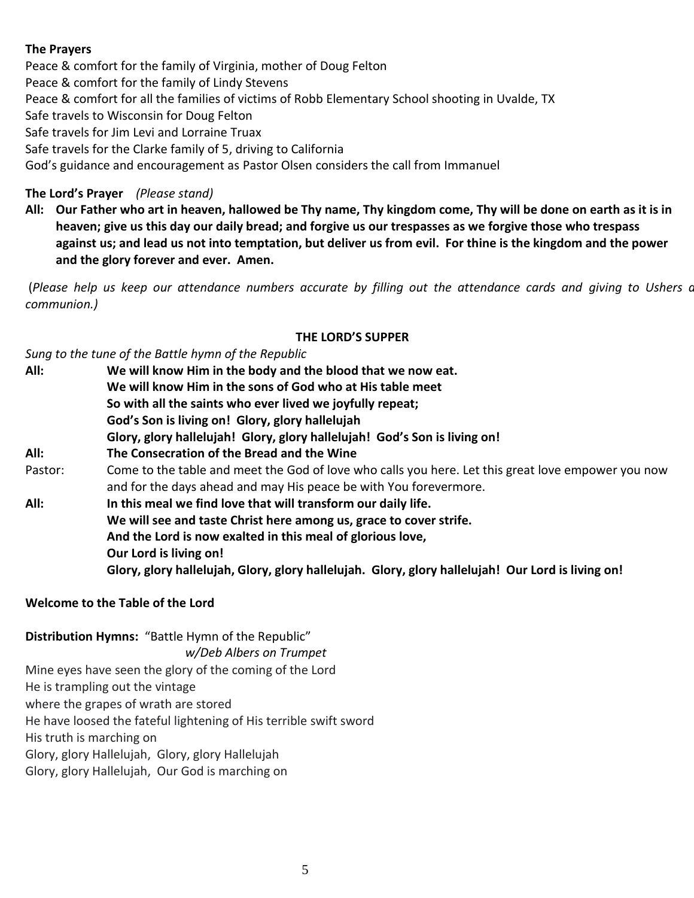## **The Prayers**

Peace & comfort for the family of Virginia, mother of Doug Felton Peace & comfort for the family of Lindy Stevens Peace & comfort for all the families of victims of Robb Elementary School shooting in Uvalde, TX Safe travels to Wisconsin for Doug Felton Safe travels for Jim Levi and Lorraine Truax Safe travels for the Clarke family of 5, driving to California God's guidance and encouragement as Pastor Olsen considers the call from Immanuel

## **The Lord's Prayer** *(Please stand)*

**All: Our Father who art in heaven, hallowed be Thy name, Thy kingdom come, Thy will be done on earth as it is in heaven; give us this day our daily bread; and forgive us our trespasses as we forgive those who trespass against us; and lead us not into temptation, but deliver us from evil. For thine is the kingdom and the power and the glory forever and ever. Amen.**

(Please help us keep our attendance numbers accurate by filling out the attendance cards and giving to Ushers c *communion.)*

#### **THE LORD'S SUPPER**

#### *Sung to the tune of the Battle hymn of the Republic*

| All:    | We will know Him in the body and the blood that we now eat.                                        |
|---------|----------------------------------------------------------------------------------------------------|
|         | We will know Him in the sons of God who at His table meet                                          |
|         | So with all the saints who ever lived we joyfully repeat;                                          |
|         | God's Son is living on! Glory, glory hallelujah                                                    |
|         | Glory, glory hallelujah! Glory, glory hallelujah! God's Son is living on!                          |
| All:    | The Consecration of the Bread and the Wine                                                         |
| Pastor: | Come to the table and meet the God of love who calls you here. Let this great love empower you now |
|         | and for the days ahead and may His peace be with You forevermore.                                  |
| All:    | In this meal we find love that will transform our daily life.                                      |
|         | We will see and taste Christ here among us, grace to cover strife.                                 |
|         | And the Lord is now exalted in this meal of glorious love,                                         |
|         | Our Lord is living on!                                                                             |
|         | Glory, glory hallelujah, Glory, glory hallelujah. Glory, glory hallelujah! Our Lord is living on!  |

### **Welcome to the Table of the Lord**

**Distribution Hymns:** "Battle Hymn of the Republic"  *w/Deb Albers on Trumpet* Mine eyes have seen the glory of the coming of the Lord He is trampling out the vintage where the grapes of wrath are stored He have loosed the fateful lightening of His terrible swift sword His truth is marching on Glory, glory Hallelujah, Glory, glory Hallelujah Glory, glory Hallelujah, Our God is marching on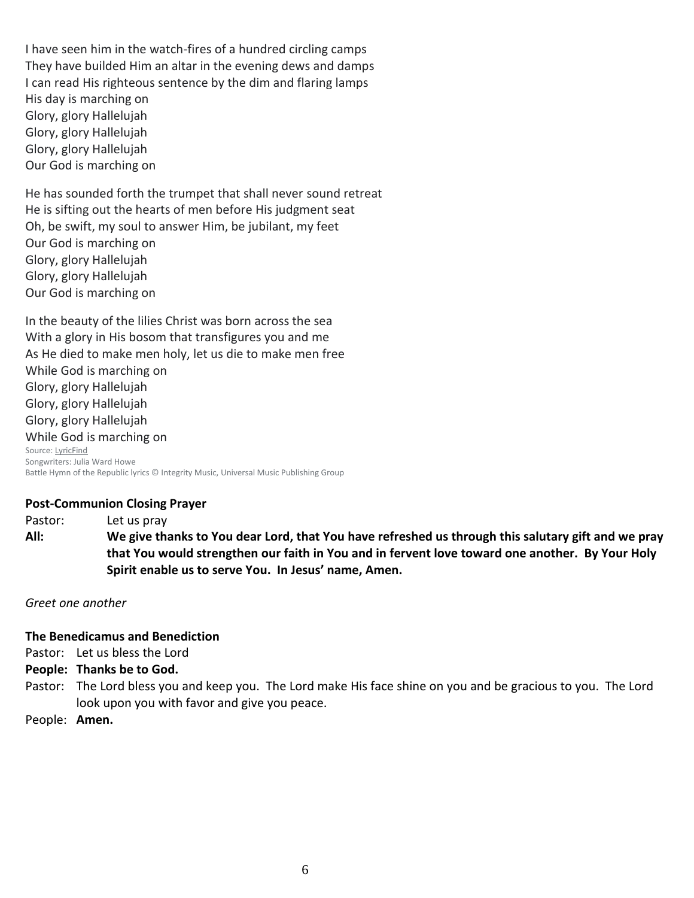I have seen him in the watch-fires of a hundred circling camps They have builded Him an altar in the evening dews and damps I can read His righteous sentence by the dim and flaring lamps His day is marching on Glory, glory Hallelujah Glory, glory Hallelujah Glory, glory Hallelujah Our God is marching on

He has sounded forth the trumpet that shall never sound retreat He is sifting out the hearts of men before His judgment seat Oh, be swift, my soul to answer Him, be jubilant, my feet Our God is marching on Glory, glory Hallelujah Glory, glory Hallelujah Our God is marching on

In the beauty of the lilies Christ was born across the sea With a glory in His bosom that transfigures you and me As He died to make men holy, let us die to make men free While God is marching on Glory, glory Hallelujah Glory, glory Hallelujah Glory, glory Hallelujah While God is marching on Source: [LyricFind](https://www.lyricfind.com/) Songwriters: Julia Ward Howe Battle Hymn of the Republic lyrics © Integrity Music, Universal Music Publishing Group

#### **Post-Communion Closing Prayer**

Pastor: Let us pray

**All: We give thanks to You dear Lord, that You have refreshed us through this salutary gift and we pray that You would strengthen our faith in You and in fervent love toward one another. By Your Holy Spirit enable us to serve You. In Jesus' name, Amen.** 

*Greet one another*

## **The Benedicamus and Benediction**

Pastor: Let us bless the Lord

**People: Thanks be to God.**

Pastor: The Lord bless you and keep you. The Lord make His face shine on you and be gracious to you. The Lord look upon you with favor and give you peace.

People: **Amen.**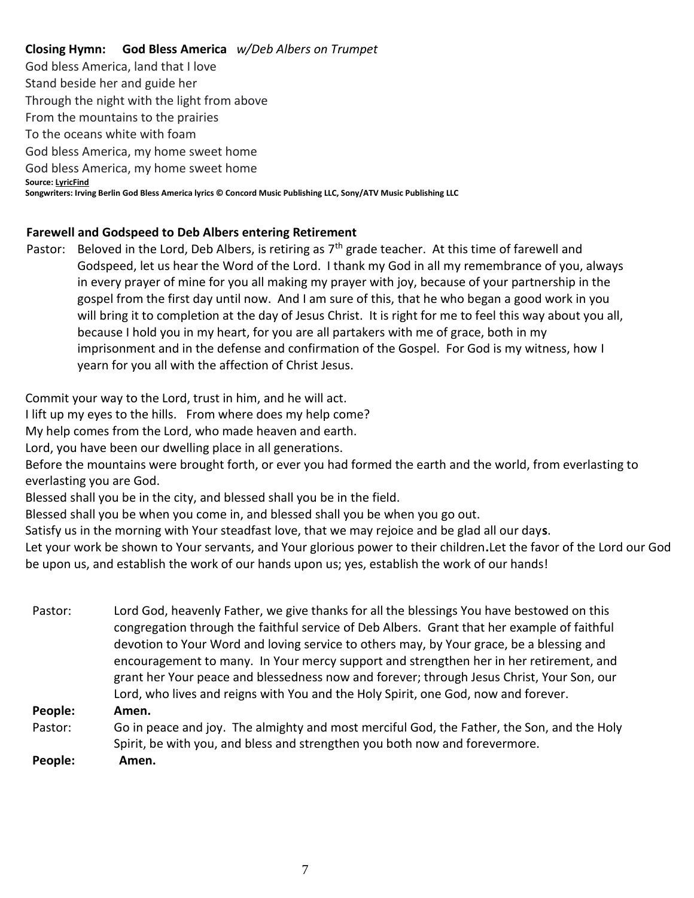# **Closing Hymn: God Bless America** *w/Deb Albers on Trumpet*

God bless America, land that I love Stand beside her and guide her Through the night with the light from above From the mountains to the prairies To the oceans white with foam God bless America, my home sweet home God bless America, my home sweet home **Source: [LyricFind](https://www.lyricfind.com/)  Songwriters: Irving Berlin God Bless America lyrics © Concord Music Publishing LLC, Sony/ATV Music Publishing LLC**

## **Farewell and Godspeed to Deb Albers entering Retirement**

Pastor: Beloved in the Lord, Deb Albers, is retiring as 7<sup>th</sup> grade teacher. At this time of farewell and Godspeed, let us hear the Word of the Lord. I thank my God in all my remembrance of you, always in every prayer of mine for you all making my prayer with joy, because of your partnership in the gospel from the first day until now. And I am sure of this, that he who began a good work in you will bring it to completion at the day of Jesus Christ. It is right for me to feel this way about you all, because I hold you in my heart, for you are all partakers with me of grace, both in my imprisonment and in the defense and confirmation of the Gospel. For God is my witness, how I yearn for you all with the affection of Christ Jesus.

Commit your way to the Lord, trust in him, and he will act.

I lift up my eyes to the hills. From where does my help come?

My help comes from the Lord, who made heaven and earth.

Lord, you have been our dwelling place in all generations.

Before the mountains were brought forth, or ever you had formed the earth and the world, from everlasting to everlasting you are God.

Blessed shall you be in the city, and blessed shall you be in the field.

Blessed shall you be when you come in, and blessed shall you be when you go out.

Satisfy us in the morning with Your steadfast love, that we may rejoice and be glad all our day**s**.

Let your work be shown to Your servants, and Your glorious power to their children**.**Let the favor of the Lord our God be upon us, and establish the work of our hands upon us; yes, establish the work of our hands!

| Pastor: | Lord God, heavenly Father, we give thanks for all the blessings You have bestowed on this<br>congregation through the faithful service of Deb Albers. Grant that her example of faithful<br>devotion to Your Word and loving service to others may, by Your grace, be a blessing and<br>encouragement to many. In Your mercy support and strengthen her in her retirement, and<br>grant her Your peace and blessedness now and forever; through Jesus Christ, Your Son, our<br>Lord, who lives and reigns with You and the Holy Spirit, one God, now and forever. |
|---------|-------------------------------------------------------------------------------------------------------------------------------------------------------------------------------------------------------------------------------------------------------------------------------------------------------------------------------------------------------------------------------------------------------------------------------------------------------------------------------------------------------------------------------------------------------------------|
| People: | Amen.                                                                                                                                                                                                                                                                                                                                                                                                                                                                                                                                                             |
| Pastor: | Go in peace and joy. The almighty and most merciful God, the Father, the Son, and the Holy                                                                                                                                                                                                                                                                                                                                                                                                                                                                        |

Spirit, be with you, and bless and strengthen you both now and forevermore.

**People: Amen.**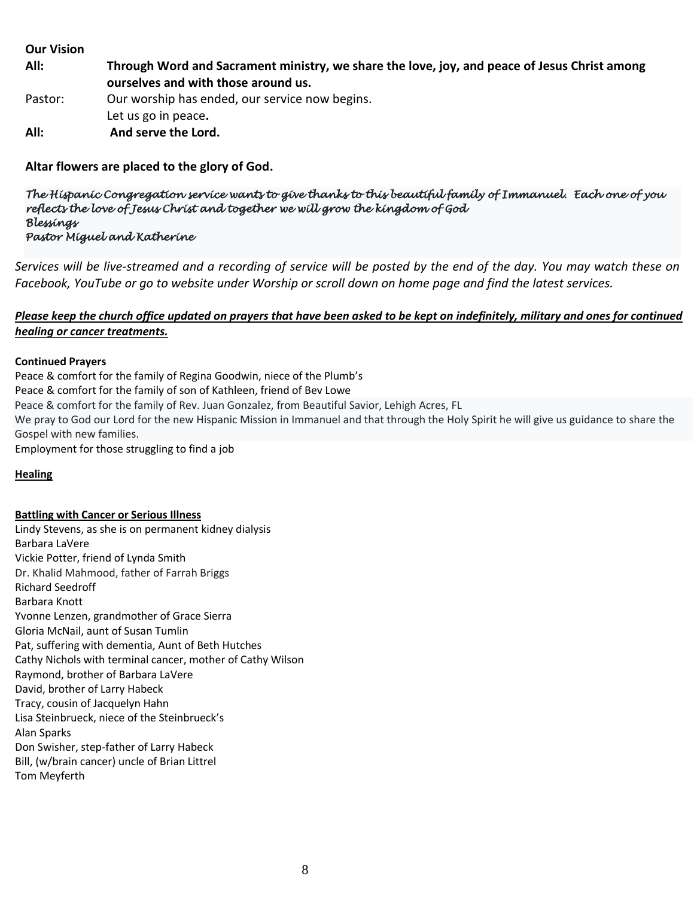| <b>Our Vision</b> |                                                                                              |
|-------------------|----------------------------------------------------------------------------------------------|
| All:              | Through Word and Sacrament ministry, we share the love, joy, and peace of Jesus Christ among |
|                   | ourselves and with those around us.                                                          |
| Pastor:           | Our worship has ended, our service now begins.                                               |
|                   | Let us go in peace.                                                                          |
| All:              | And serve the Lord.                                                                          |

**Altar flowers are placed to the glory of God.**

*The Hispanic Congregation service wants to give thanks to this beautiful family of Immanuel. Each one of you reflects the love of Jesus Christ and together we will grow the kingdom of God Blessings Pastor Miguel and Katherine* 

*Services will be live-streamed and a recording of service will be posted by the end of the day. You may watch these on Facebook, YouTube or go to website under Worship or scroll down on home page and find the latest services.* 

#### *Please keep the church office updated on prayers that have been asked to be kept on indefinitely, military and ones for continued healing or cancer treatments.*

#### **Continued Prayers**

Peace & comfort for the family of Regina Goodwin, niece of the Plumb's Peace & comfort for the family of son of Kathleen, friend of Bev Lowe Peace & comfort for the family of Rev. Juan Gonzalez, from Beautiful Savior, Lehigh Acres, FL We pray to God our Lord for the new Hispanic Mission in Immanuel and that through the Holy Spirit he will give us guidance to share the Gospel with new families.

Employment for those struggling to find a job

#### **Healing**

#### **Battling with Cancer or Serious Illness**

Lindy Stevens, as she is on permanent kidney dialysis Barbara LaVere Vickie Potter, friend of Lynda Smith Dr. Khalid Mahmood, father of Farrah Briggs Richard Seedroff Barbara Knott Yvonne Lenzen, grandmother of Grace Sierra Gloria McNail, aunt of Susan Tumlin Pat, suffering with dementia, Aunt of Beth Hutches Cathy Nichols with terminal cancer, mother of Cathy Wilson Raymond, brother of Barbara LaVere David, brother of Larry Habeck Tracy, cousin of Jacquelyn Hahn Lisa Steinbrueck, niece of the Steinbrueck's Alan Sparks Don Swisher, step-father of Larry Habeck Bill, (w/brain cancer) uncle of Brian Littrel Tom Meyferth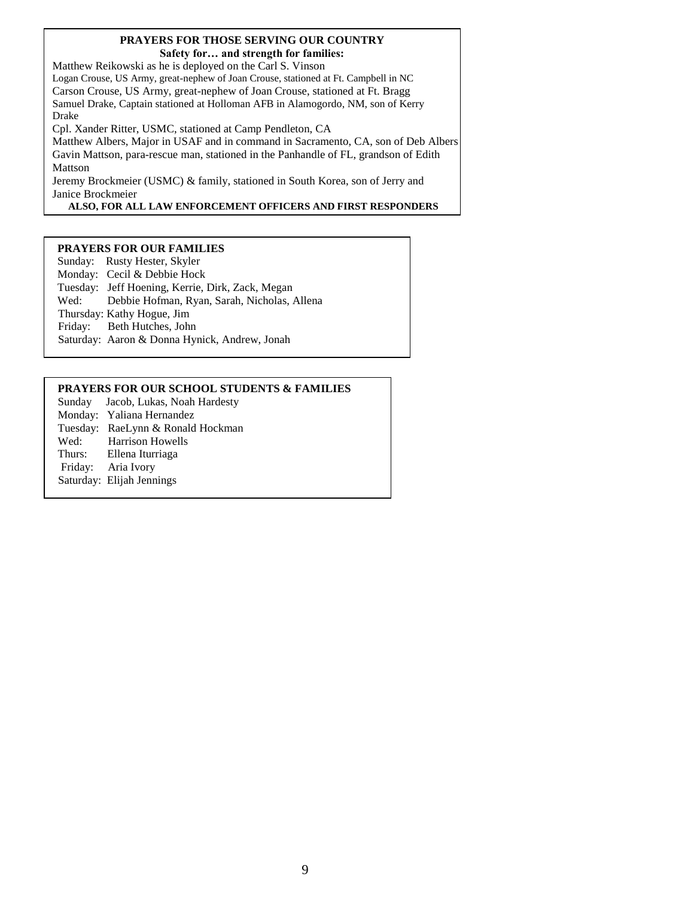#### **PRAYERS FOR THOSE SERVING OUR COUNTRY Safety for… and strength for families:**

Matthew Reikowski as he is deployed on the Carl S. Vinson Logan Crouse, US Army, great-nephew of Joan Crouse, stationed at Ft. Campbell in NC Carson Crouse, US Army, great-nephew of Joan Crouse, stationed at Ft. Bragg Samuel Drake, Captain stationed at Holloman AFB in Alamogordo, NM, son of Kerry Drake Cpl. Xander Ritter, USMC, stationed at Camp Pendleton, CA

Matthew Albers, Major in USAF and in command in Sacramento, CA, son of Deb Albers Gavin Mattson, para-rescue man, stationed in the Panhandle of FL, grandson of Edith Mattson

Jeremy Brockmeier (USMC) & family, stationed in South Korea, son of Jerry and Janice Brockmeier

**ALSO, FOR ALL LAW ENFORCEMENT OFFICERS AND FIRST RESPONDERS**

#### **PRAYERS FOR OUR FAMILIES**

 $\overline{a}$ 

Sunday: Rusty Hester, Skyler Monday: Cecil & Debbie Hock Tuesday: Jeff Hoening, Kerrie, Dirk, Zack, Megan Wed: Debbie Hofman, Ryan, Sarah, Nicholas, Allena Thursday: Kathy Hogue, Jim Friday: Beth Hutches, John Saturday: Aaron & Donna Hynick, Andrew, Jonah

#### **PRAYERS FOR OUR SCHOOL STUDENTS & FAMILIES**

Sunday Jacob, Lukas, Noah Hardesty Monday: Yaliana Hernandez Tuesday: RaeLynn & Ronald Hockman Wed: Harrison Howells Thurs: Ellena Iturriaga Friday: Aria Ivory Saturday: Elijah Jennings